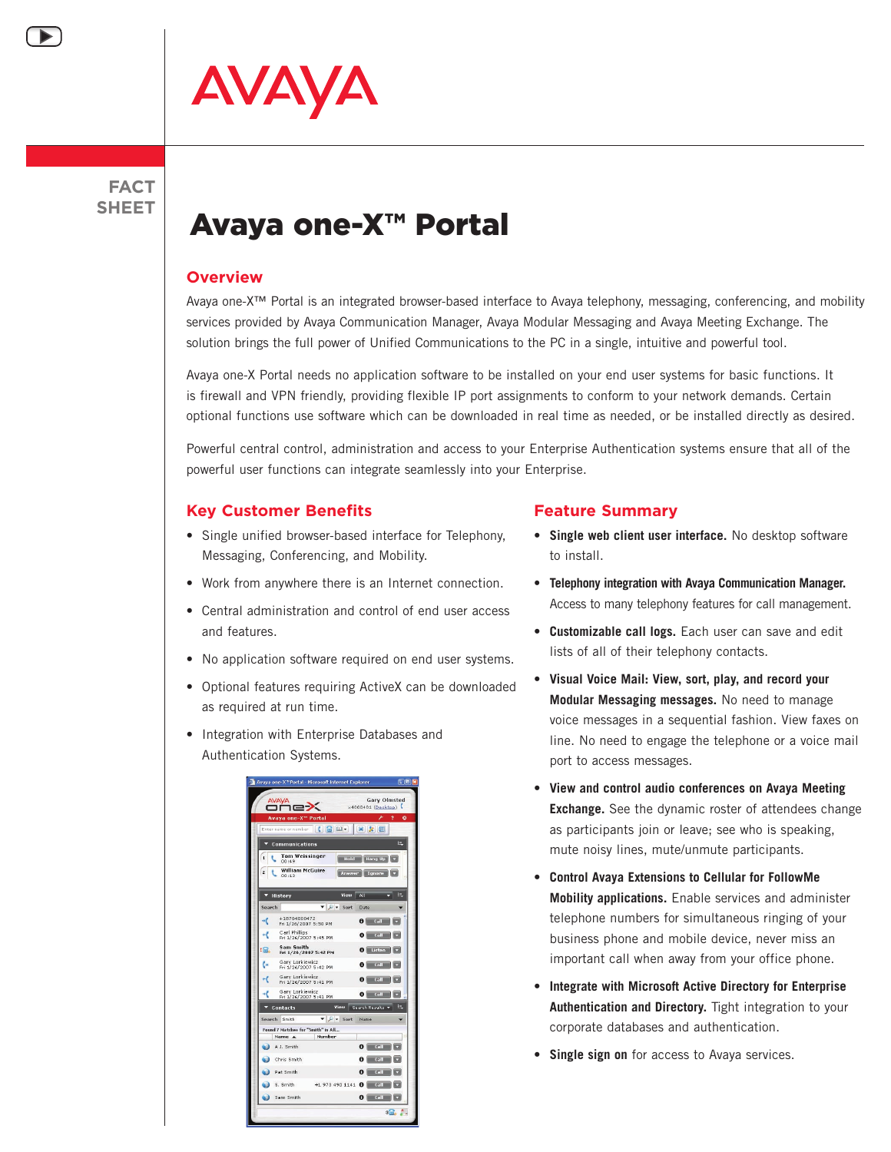

### **FACT SHEET**

# Avaya one-X™ Portal

#### **Overview**

Avaya one-X™ Portal is an integrated browser-based interface to Avaya telephony, messaging, conferencing, and mobility services provided by Avaya Communication Manager, Avaya Modular Messaging and Avaya Meeting Exchange. The solution brings the full power of Unified Communications to the PC in a single, intuitive and powerful tool.

Avaya one-X Portal needs no application software to be installed on your end user systems for basic functions. It is firewall and VPN friendly, providing flexible IP port assignments to conform to your network demands. Certain optional functions use software which can be downloaded in real time as needed, or be installed directly as desired.

Powerful central control, administration and access to your Enterprise Authentication systems ensure that all of the powerful user functions can integrate seamlessly into your Enterprise.

#### **Key Customer Benefits**

- Single unified browser-based interface for Telephony, Messaging, Conferencing, and Mobility.
- Work from anywhere there is an Internet connection.
- Central administration and control of end user access and features.
- No application software required on end user systems.
- Optional features requiring ActiveX can be downloaded as required at run time.
- Integration with Enterprise Databases and Authentication Systems.



#### **Feature Summary**

- **Single web client user interface.** No desktop software to install.
- **Telephony integration with Avaya Communication Manager.**  Access to many telephony features for call management.
- **Customizable call logs.** Each user can save and edit lists of all of their telephony contacts.
- **Visual Voice Mail: View, sort, play, and record your Modular Messaging messages.** No need to manage voice messages in a sequential fashion. View faxes on line. No need to engage the telephone or a voice mail port to access messages.
- **View and control audio conferences on Avaya Meeting Exchange.** See the dynamic roster of attendees change as participants join or leave; see who is speaking, mute noisy lines, mute/unmute participants.
- **Control Avaya Extensions to Cellular for FollowMe Mobility applications.** Enable services and administer telephone numbers for simultaneous ringing of your business phone and mobile device, never miss an important call when away from your office phone.
- **Integrate with Microsoft Active Directory for Enterprise Authentication and Directory.** Tight integration to your corporate databases and authentication.
- **Single sign on** for access to Avaya services.